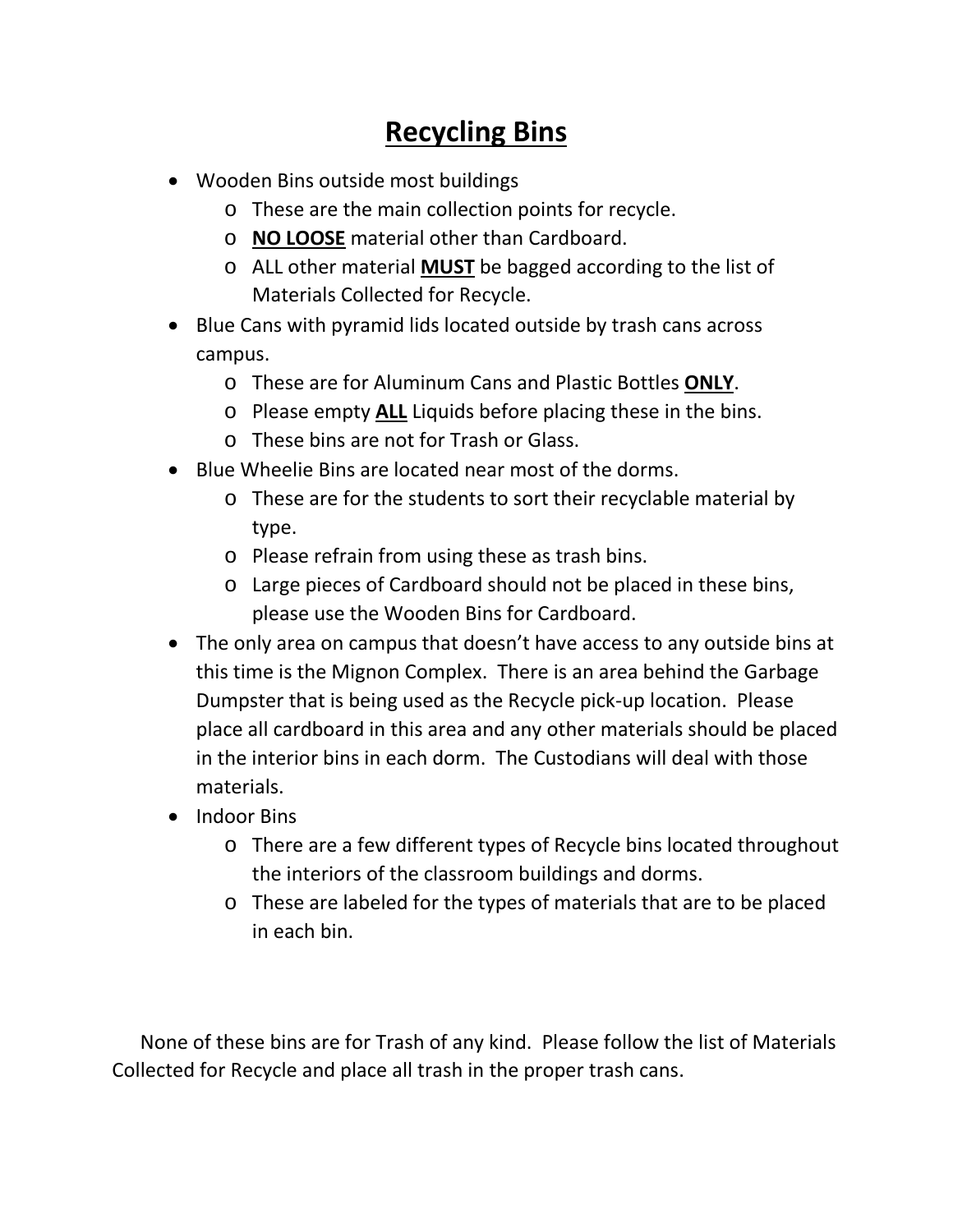## **Recycling Bins**

- Wooden Bins outside most buildings
	- o These are the main collection points for recycle.
	- o **NO LOOSE** material other than Cardboard.
	- o ALL other material **MUST** be bagged according to the list of Materials Collected for Recycle.
- Blue Cans with pyramid lids located outside by trash cans across campus.
	- o These are for Aluminum Cans and Plastic Bottles **ONLY**.
	- o Please empty **ALL** Liquids before placing these in the bins.
	- o These bins are not for Trash or Glass.
- Blue Wheelie Bins are located near most of the dorms.
	- o These are for the students to sort their recyclable material by type.
	- o Please refrain from using these as trash bins.
	- o Large pieces of Cardboard should not be placed in these bins, please use the Wooden Bins for Cardboard.
- The only area on campus that doesn't have access to any outside bins at this time is the Mignon Complex. There is an area behind the Garbage Dumpster that is being used as the Recycle pick-up location. Please place all cardboard in this area and any other materials should be placed in the interior bins in each dorm. The Custodians will deal with those materials.
- Indoor Bins
	- o There are a few different types of Recycle bins located throughout the interiors of the classroom buildings and dorms.
	- o These are labeled for the types of materials that are to be placed in each bin.

None of these bins are for Trash of any kind. Please follow the list of Materials Collected for Recycle and place all trash in the proper trash cans.